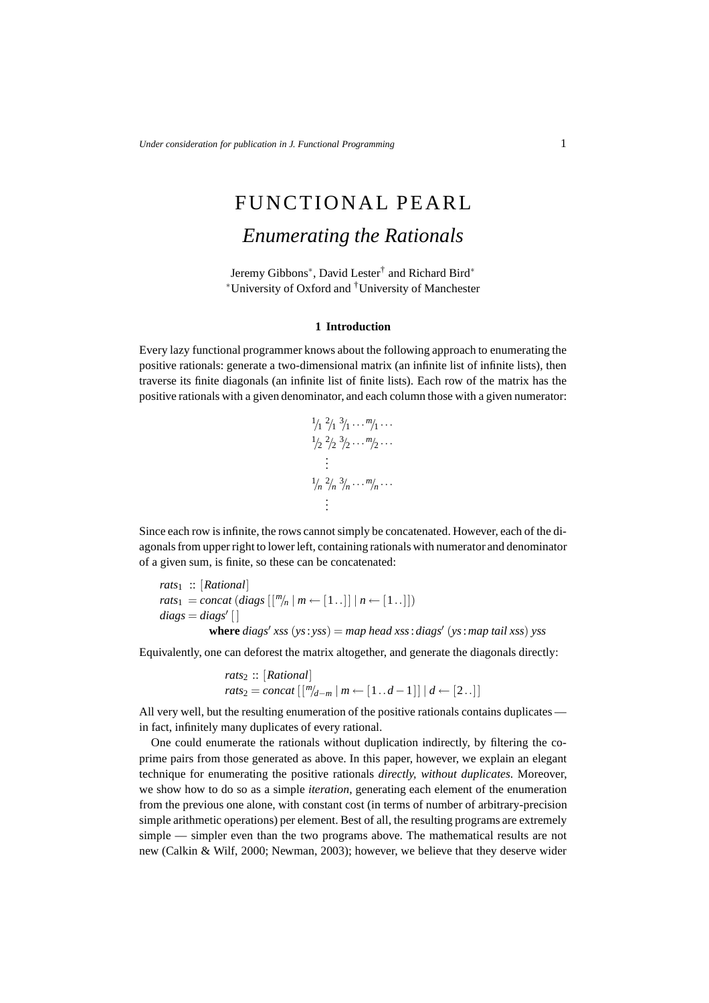# FUNCTIONAL PEARL

# *Enumerating the Rationals*

Jeremy Gibbons<sup>∗</sup> , David Lester† and Richard Bird<sup>∗</sup> <sup>∗</sup>University of Oxford and †University of Manchester

#### **1 Introduction**

Every lazy functional programmer knows about the following approach to enumerating the positive rationals: generate a two-dimensional matrix (an infinite list of infinite lists), then traverse its finite diagonals (an infinite list of finite lists). Each row of the matrix has the positive rationals with a given denominator, and each column those with a given numerator:

$$
\begin{aligned}\n & \frac{1}{1} \left( \frac{2}{1} \frac{3}{1} \cdots \frac{m}{1} \cdots \right. \\
 & \frac{1}{2} \left( \frac{2}{2} \frac{3}{2} \cdots \frac{m}{2} \cdots \right. \\
 & \vdots \\
 & \frac{1}{n} \left( \frac{2}{n} \frac{3}{n} \cdots \frac{m}{n} \cdots \right. \\
 & \vdots\n \end{aligned}
$$

Since each row is infinite, the rows cannot simply be concatenated. However, each of the diagonals from upper right to lower left, containing rationals with numerator and denominator of a given sum, is finite, so these can be concatenated:

*rats*<sup>1</sup> :: [*Rational*] *rats*<sup>1</sup> = *concat* (*diags* [[*m*/*<sup>n</sup>* | *m* ← [1..]] | *n* ← [1..]]) *diags* = *diags*<sup>0</sup> [ ] **where** *diags*<sup>0</sup> *xss* (*ys*: *yss*) = *map head xss*: *diags*<sup>0</sup> (*ys*:*map tail xss*) *yss*

Equivalently, one can deforest the matrix altogether, and generate the diagonals directly:

*rats*<sub>2</sub> :: [*Rational*]  

$$
rats2 = concat[[m/d-m | m \leftarrow [1..d-1]] | d \leftarrow [2..]]
$$

All very well, but the resulting enumeration of the positive rationals contains duplicates in fact, infinitely many duplicates of every rational.

One could enumerate the rationals without duplication indirectly, by filtering the coprime pairs from those generated as above. In this paper, however, we explain an elegant technique for enumerating the positive rationals *directly, without duplicates*. Moreover, we show how to do so as a simple *iteration*, generating each element of the enumeration from the previous one alone, with constant cost (in terms of number of arbitrary-precision simple arithmetic operations) per element. Best of all, the resulting programs are extremely  $simple$  — simpler even than the two programs above. The mathematical results are not new (Calkin & Wilf, 2000; Newman, 2003); however, we believe that they deserve wider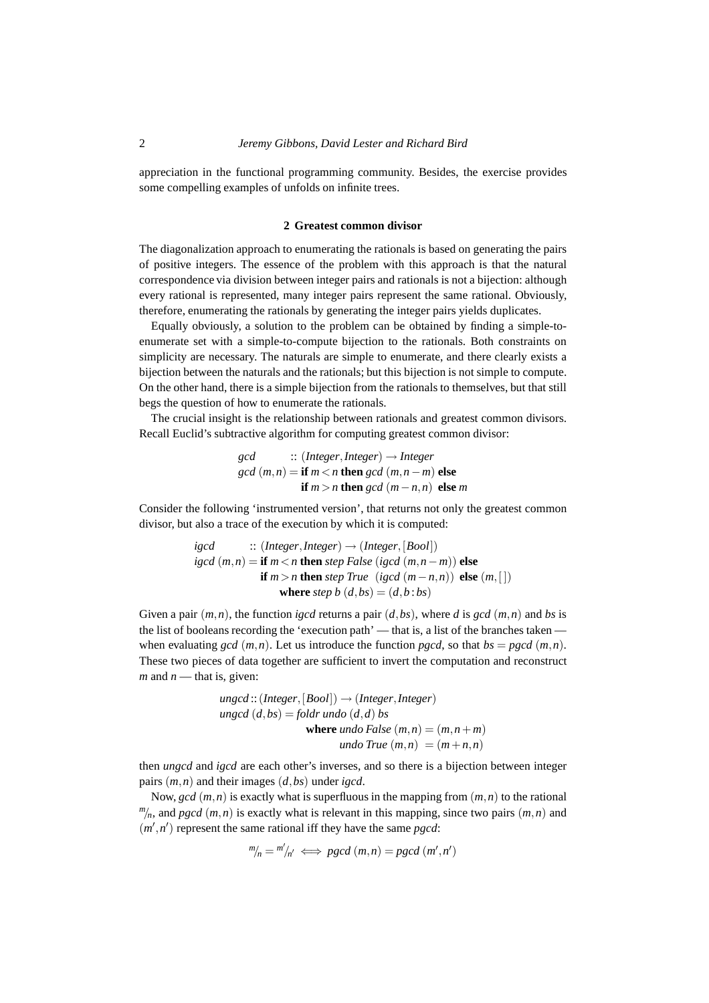appreciation in the functional programming community. Besides, the exercise provides some compelling examples of unfolds on infinite trees.

#### **2 Greatest common divisor**

The diagonalization approach to enumerating the rationals is based on generating the pairs of positive integers. The essence of the problem with this approach is that the natural correspondence via division between integer pairs and rationals is not a bijection: although every rational is represented, many integer pairs represent the same rational. Obviously, therefore, enumerating the rationals by generating the integer pairs yields duplicates.

Equally obviously, a solution to the problem can be obtained by finding a simple-toenumerate set with a simple-to-compute bijection to the rationals. Both constraints on simplicity are necessary. The naturals are simple to enumerate, and there clearly exists a bijection between the naturals and the rationals; but this bijection is not simple to compute. On the other hand, there is a simple bijection from the rationals to themselves, but that still begs the question of how to enumerate the rationals.

The crucial insight is the relationship between rationals and greatest common divisors. Recall Euclid's subtractive algorithm for computing greatest common divisor:

> *gcd* :: (*Integer*,*Integer*) → *Integer*  $gcd(m, n) =$ **if**  $m < n$  **then**  $gcd(m, n-m)$  **else if**  $m > n$  **then**  $gcd(m - n, n)$  **else**  $m$

Consider the following 'instrumented version', that returns not only the greatest common divisor, but also a trace of the execution by which it is computed:

*igcd* :: (*Integer, Integer*) 
$$
\rightarrow
$$
 (*Integer*, [*Bool*])  
*igcd* (*m*,*n*) = **if** *m* < *n* **then** *step False* (*igcd* (*m*,*n* – *m*)) **else**  
**if** *m* > *n* **then** *step True* (*igcd* (*m* – *n*,*n*)) **else** (*m*, [])  
**where** *step b* (*d*,*bs*) = (*d*,*b*:*bs*)

Given a pair  $(m, n)$ , the function *igcd* returns a pair  $(d, bs)$ , where *d* is *gcd*  $(m, n)$  and *bs* is the list of booleans recording the 'execution path' — that is, a list of the branches taken when evaluating *gcd* (*m*,*n*). Let us introduce the function *pgcd*, so that  $bs = pgcd(m, n)$ . These two pieces of data together are sufficient to invert the computation and reconstruct *m* and  $n$  — that is, given:

$$
ungcd::(Integer, [Bool]) → (Integer, Integer)
$$
  
ungcd (d,bs) = foldr undo (d, d) bs  
**where** undo False (m,n) = (m,n+m)  
undo True (m,n) = (m+n,n)

then *ungcd* and *igcd* are each other's inverses, and so there is a bijection between integer pairs (*m*,*n*) and their images (*d*,*bs*) under *igcd*.

Now, *gcd*  $(m, n)$  is exactly what is superfluous in the mapping from  $(m, n)$  to the rational  $m'_h$ , and *pgcd*  $(m, n)$  is exactly what is relevant in this mapping, since two pairs  $(m, n)$  and  $(m', n')$  represent the same rational iff they have the same *pgcd*:

$$
^{m}\!/_n = {^{m}\!}/_{n'} \iff pgcd(m,n) = pgcd(m',n')
$$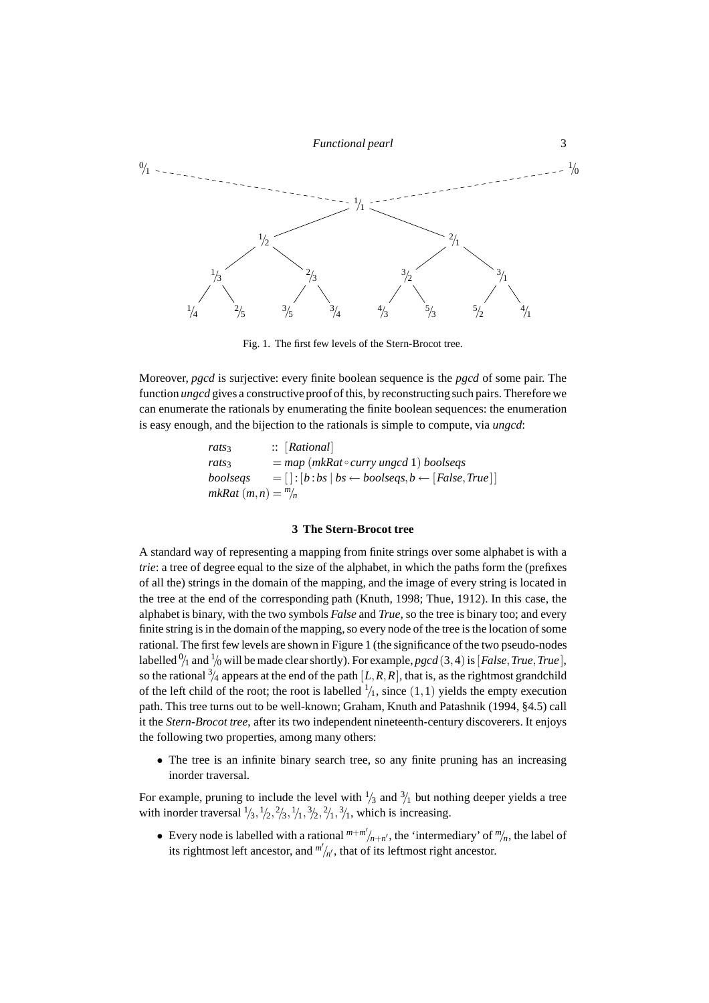

Fig. 1. The first few levels of the Stern-Brocot tree.

Moreover, *pgcd* is surjective: every finite boolean sequence is the *pgcd* of some pair. The function *ungcd* gives a constructive proof of this, by reconstructing such pairs. Therefore we can enumerate the rationals by enumerating the finite boolean sequences: the enumeration is easy enough, and the bijection to the rationals is simple to compute, via *ungcd*:

> *rats*<sup>3</sup> :: [*Rational*]  $rats<sub>3</sub>$  =  $map(mkRat \circ curry ungcd 1)$  *boolseqs*  $\{boolseqs \}$  =  $[ | : [b : bs | bs \leftarrow bookseqs, b \leftarrow [False, True] ]$  $mkRat(m, n) = \frac{m}{n}$

# **3 The Stern-Brocot tree**

A standard way of representing a mapping from finite strings over some alphabet is with a *trie*: a tree of degree equal to the size of the alphabet, in which the paths form the (prefixes of all the) strings in the domain of the mapping, and the image of every string is located in the tree at the end of the corresponding path (Knuth, 1998; Thue, 1912). In this case, the alphabet is binary, with the two symbols *False* and *True*, so the tree is binary too; and every finite string is in the domain of the mapping, so every node of the tree is the location of some rational. The first few levels are shown in Figure 1 (the significance of the two pseudo-nodes labelled  $\frac{0}{1}$  and  $\frac{1}{0}$  will be made clear shortly). For example, *pgcd* (3,4) is [*False*, *True*, *True*], so the rational  $\frac{3}{4}$  appears at the end of the path [*L*,*R*,*R*], that is, as the rightmost grandchild of the left child of the root; the root is labelled  $\frac{1}{1}$ , since  $(1,1)$  yields the empty execution path. This tree turns out to be well-known; Graham, Knuth and Patashnik (1994, §4.5) call it the *Stern-Brocot tree*, after its two independent nineteenth-century discoverers. It enjoys the following two properties, among many others:

• The tree is an infinite binary search tree, so any finite pruning has an increasing inorder traversal.

For example, pruning to include the level with  $\frac{1}{3}$  and  $\frac{3}{1}$  but nothing deeper yields a tree with inorder traversal  $\frac{1}{3}$ ,  $\frac{1}{2}$ ,  $\frac{2}{3}$ ,  $\frac{1}{1}$ ,  $\frac{3}{2}$ ,  $\frac{2}{1}$ ,  $\frac{3}{1}$ , which is increasing.

• Every node is labelled with a rational  $^{m+m'}/_{n+n'}$ , the 'intermediary' of  $^m/_{n}$ , the label of its rightmost left ancestor, and  $^{m'}/n'$ , that of its leftmost right ancestor.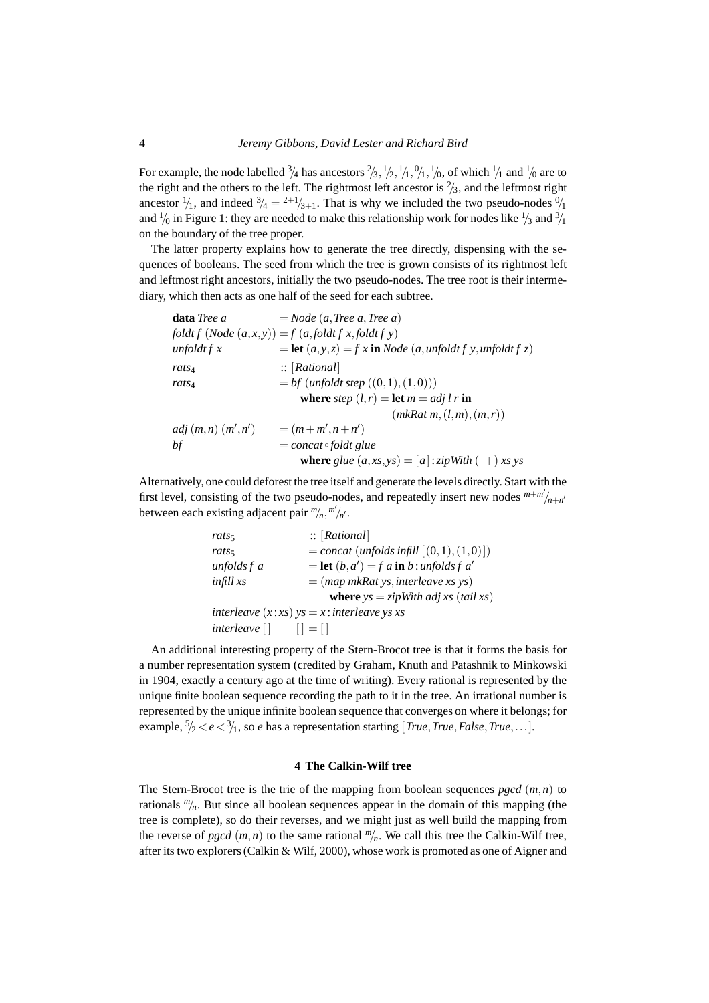For example, the node labelled  $\frac{3}{4}$  has ancestors  $\frac{2}{3}$ ,  $\frac{1}{2}$ ,  $\frac{1}{1}$ ,  $\frac{0}{1}$ ,  $\frac{1}{0}$ , of which  $\frac{1}{1}$  and  $\frac{1}{0}$  are to the right and the others to the left. The rightmost left ancestor is  $\frac{2}{3}$ , and the leftmost right ancestor  $\frac{1}{1}$ , and indeed  $\frac{3}{4} = \frac{2+1}{3+1}$ . That is why we included the two pseudo-nodes  $\frac{0}{1}$ and  $\frac{1}{0}$  in Figure 1: they are needed to make this relationship work for nodes like  $\frac{1}{3}$  and  $\frac{3}{1}$ on the boundary of the tree proper.

The latter property explains how to generate the tree directly, dispensing with the sequences of booleans. The seed from which the tree is grown consists of its rightmost left and leftmost right ancestors, initially the two pseudo-nodes. The tree root is their intermediary, which then acts as one half of the seed for each subtree.

| <b>data</b> <i>Tree a</i> | $=$ Node (a, Tree a, Tree a)                                                                  |
|---------------------------|-----------------------------------------------------------------------------------------------|
|                           | foldt f (Node $(a,x,y)$ ) = f $(a, f \circ b)$ and f x, foldt f y)                            |
| unfoldt $f x$             | = <b>let</b> $(a, y, z) = f x$ in <i>Node</i> $(a, \text{unfold} t f y, \text{unfold} t f z)$ |
| rats <sub>4</sub>         | $\therefore$ Rational                                                                         |
| rats <sub>4</sub>         | $=$ bf (unfoldt step $((0,1),(1,0)))$ )                                                       |
|                           | where step $(l, r) = \text{let } m = adj \, l \, r$ in                                        |
|                           | $(mkRat\,m, (l,m), (m,r))$                                                                    |
| adj(m,n)(m',n')           | $= (m + m', n + n')$                                                                          |
| bf                        | $=$ concat $\circ$ foldt glue                                                                 |
|                           | <b>where</b> glue $(a, xs, ys) = [a] : zipWith (+) xs ys$                                     |

Alternatively, one could deforest the tree itself and generate the levels directly. Start with the first level, consisting of the two pseudo-nodes, and repeatedly insert new nodes  $^{m+m'}/_{n+n'}$ between each existing adjacent pair  $\frac{m}{n}$ ,  $\frac{m'}{n'}$ .

| rats <sub>5</sub>    | $\therefore$ [Rational]                                |
|----------------------|--------------------------------------------------------|
| rats <sub>5</sub>    | $= concat$ (unfolds infill $[(0,1), (1,0)]$ )          |
| unfolds f a          | = <b>let</b> $(b, a') = f$ a <b>in</b> b: unfolds f a' |
| <i>infill</i> xs     | $=$ (map mkRat ys, interleave xs ys)                   |
|                      | where $ys = zipWith adjxs (tail xs)$                   |
|                      | interleave $(x:xs)$ ys = x: interleave ys xs           |
| <i>interleave</i> [] | $  \cdot   =   \cdot  $                                |

An additional interesting property of the Stern-Brocot tree is that it forms the basis for a number representation system (credited by Graham, Knuth and Patashnik to Minkowski in 1904, exactly a century ago at the time of writing). Every rational is represented by the unique finite boolean sequence recording the path to it in the tree. An irrational number is represented by the unique infinite boolean sequence that converges on where it belongs; for example,  $\frac{5}{2} < e < \frac{3}{1}$ , so *e* has a representation starting [*True*,*True*,*False*,*True*,...].

# **4 The Calkin-Wilf tree**

The Stern-Brocot tree is the trie of the mapping from boolean sequences  $p\,gcd(m, n)$  to rationals *<sup>m</sup>*/*n*. But since all boolean sequences appear in the domain of this mapping (the tree is complete), so do their reverses, and we might just as well build the mapping from the reverse of *pgcd*  $(m, n)$  to the same rational  $^m/_{n}$ . We call this tree the Calkin-Wilf tree, after its two explorers (Calkin & Wilf, 2000), whose work is promoted as one of Aigner and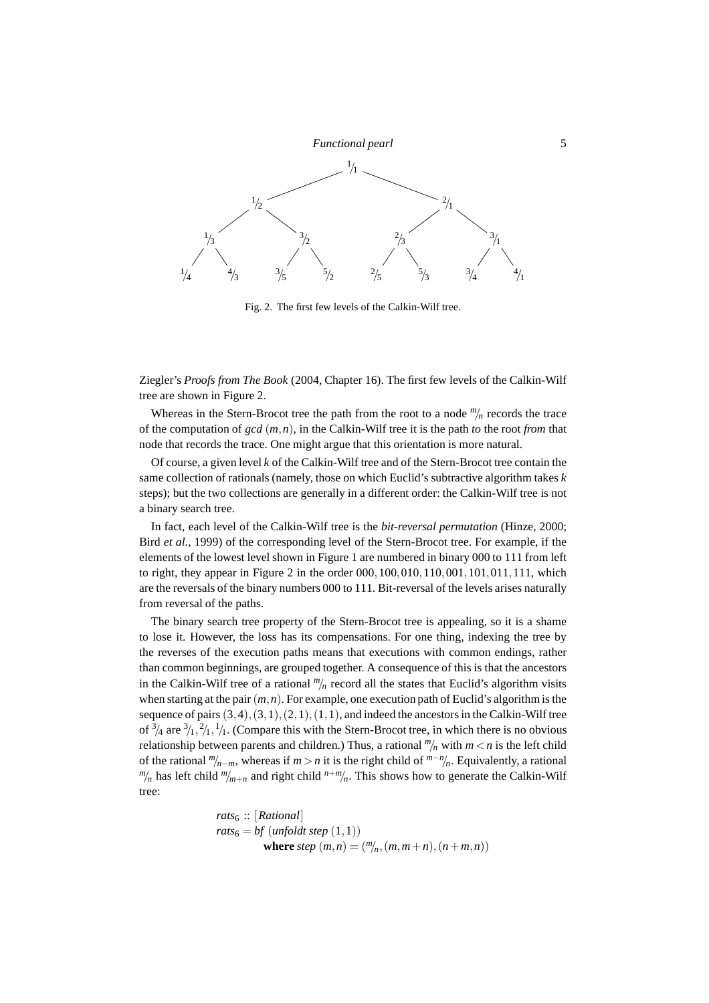

Fig. 2. The first few levels of the Calkin-Wilf tree.

Ziegler's *Proofs from The Book* (2004, Chapter 16). The first few levels of the Calkin-Wilf tree are shown in Figure 2.

Whereas in the Stern-Brocot tree the path from the root to a node  $^m/^n$  records the trace of the computation of *gcd* (*m*,*n*), in the Calkin-Wilf tree it is the path *to* the root *from* that node that records the trace. One might argue that this orientation is more natural.

Of course, a given level *k* of the Calkin-Wilf tree and of the Stern-Brocot tree contain the same collection of rationals (namely, those on which Euclid's subtractive algorithm takes *k* steps); but the two collections are generally in a different order: the Calkin-Wilf tree is not a binary search tree.

In fact, each level of the Calkin-Wilf tree is the *bit-reversal permutation* (Hinze, 2000; Bird *et al.*, 1999) of the corresponding level of the Stern-Brocot tree. For example, if the elements of the lowest level shown in Figure 1 are numbered in binary 000 to 111 from left to right, they appear in Figure 2 in the order 000,100,010,110,001,101,011,111, which are the reversals of the binary numbers 000 to 111. Bit-reversal of the levels arises naturally from reversal of the paths.

The binary search tree property of the Stern-Brocot tree is appealing, so it is a shame to lose it. However, the loss has its compensations. For one thing, indexing the tree by the reverses of the execution paths means that executions with common endings, rather than common beginnings, are grouped together. A consequence of this is that the ancestors in the Calkin-Wilf tree of a rational  $m/n$  record all the states that Euclid's algorithm visits when starting at the pair  $(m, n)$ . For example, one execution path of Euclid's algorithm is the sequence of pairs  $(3,4), (3,1), (2,1), (1,1)$ , and indeed the ancestors in the Calkin-Wilf tree of  $\frac{3}{4}$  are  $\frac{3}{1}, \frac{2}{1}, \frac{1}{1}$ . (Compare this with the Stern-Brocot tree, in which there is no obvious relationship between parents and children.) Thus, a rational  $^m/n$  with  $m < n$  is the left child of the rational *<sup>m</sup>*/*n*−*m*, whereas if *m*>*n* it is the right child of *<sup>m</sup>*−*n*/*n*. Equivalently, a rational  $m/n$  has left child  $m/m+n$  and right child  $n+m/n$ . This shows how to generate the Calkin-Wilf tree:

$$
rats6 :: [Rational]
$$
  

$$
rats6 = bf (unfoldt step (1,1))
$$
  
**where** step  $(m,n) = {m/n, (m,m+n), (n+m,n)}$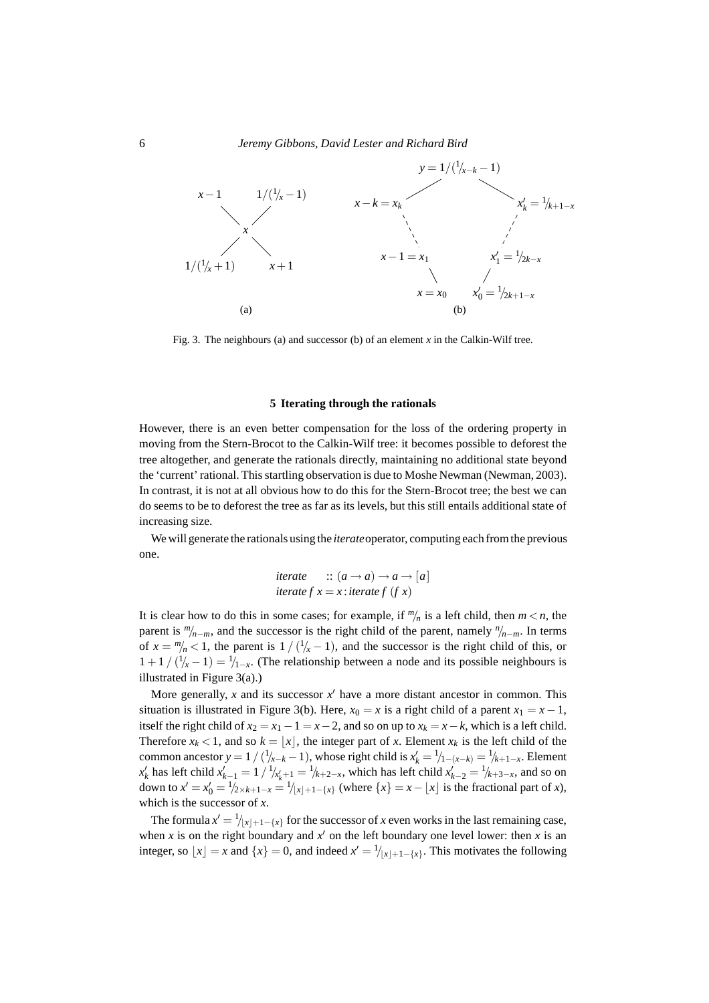

Fig. 3. The neighbours (a) and successor (b) of an element *x* in the Calkin-Wilf tree.

#### **5 Iterating through the rationals**

However, there is an even better compensation for the loss of the ordering property in moving from the Stern-Brocot to the Calkin-Wilf tree: it becomes possible to deforest the tree altogether, and generate the rationals directly, maintaining no additional state beyond the 'current' rational. This startling observation is due to Moshe Newman (Newman, 2003). In contrast, it is not at all obvious how to do this for the Stern-Brocot tree; the best we can do seems to be to deforest the tree as far as its levels, but this still entails additional state of increasing size.

We will generate the rationals using the *iterate*operator, computing each from the previous one.

*iterate* :: 
$$
(a \rightarrow a) \rightarrow a \rightarrow [a]
$$
  
*iterate f x* = *x*:*iterate f (f x)*

It is clear how to do this in some cases; for example, if  $^m/$ *n* is a left child, then  $m < n$ , the parent is *<sup>m</sup>*/*n*−*m*, and the successor is the right child of the parent, namely *<sup>n</sup>*/*n*−*m*. In terms of  $x = \frac{m}{n} < 1$ , the parent is  $1 / (\frac{1}{x} - 1)$ , and the successor is the right child of this, or  $1 + 1 / (\frac{1}{x} - 1) = \frac{1}{1-x}$ . (The relationship between a node and its possible neighbours is illustrated in Figure 3(a).)

More generally,  $x$  and its successor  $x'$  have a more distant ancestor in common. This situation is illustrated in Figure 3(b). Here,  $x_0 = x$  is a right child of a parent  $x_1 = x - 1$ , itself the right child of  $x_2 = x_1 - 1 = x - 2$ , and so on up to  $x_k = x - k$ , which is a left child. Therefore  $x_k < 1$ , and so  $k = |x|$ , the integer part of *x*. Element  $x_k$  is the left child of the common ancestor  $y = 1 / (\frac{1}{x-k} - 1)$ , whose right child is  $x'_k = \frac{1}{1 - (x-k)} = \frac{1}{k+1-x}$ . Element  $x'_{k}$  has left child  $x'_{k-1} = 1 / \frac{1}{x_{k+1}} = \frac{1}{x_{k+2-x}}$ , which has left child  $x'_{k-2} = \frac{1}{x_{k+3-x}}$ , and so on down to  $x' = x'_0 = \frac{1}{2} \times (x+1-x) = \frac{1}{2} \times (x+1-x)$  (where  $\{x\} = x - \lfloor x \rfloor$  is the fractional part of *x*), which is the successor of *x*.

The formula  $x' = \frac{1}{|x|+1-\{x\}}$  for the successor of *x* even works in the last remaining case, when *x* is on the right boundary and  $x'$  on the left boundary one level lower: then *x* is an integer, so  $\lfloor x \rfloor = x$  and  $\{x\} = 0$ , and indeed  $x' = \frac{1}{\lfloor x \rfloor + 1 - \{x\}}$ . This motivates the following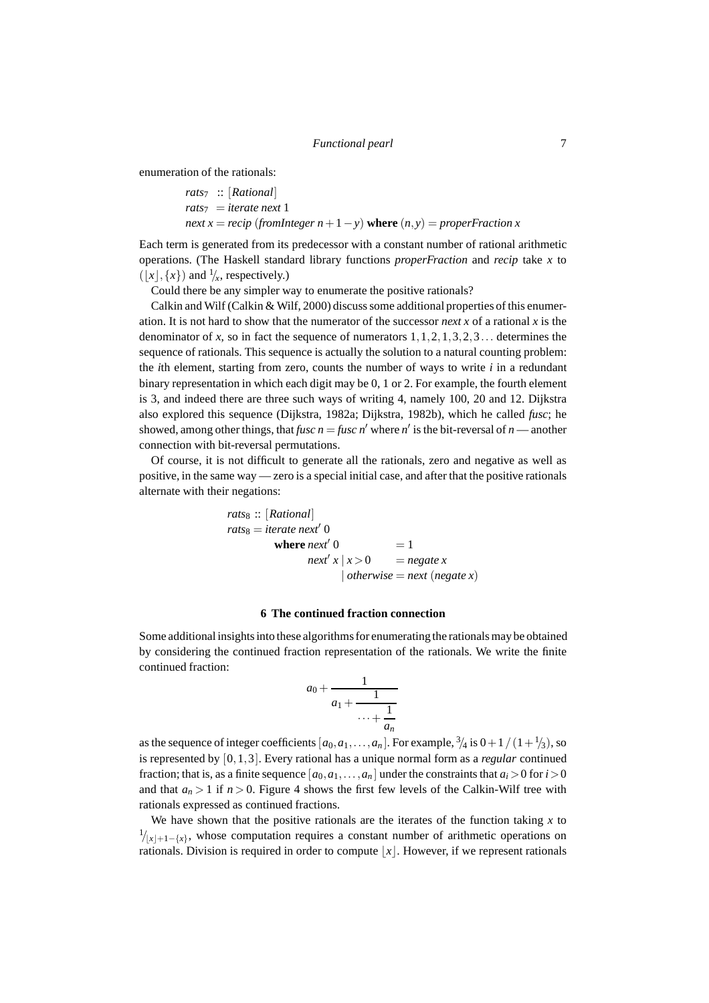enumeration of the rationals:

*rats*<sup>7</sup> :: [*Rational*] *rats*<sup>7</sup> = *iterate next* 1 *next x* = *recip* (*fromInteger n*+1−*y*) **where** (*n*,*y*) = *properFraction x*

Each term is generated from its predecessor with a constant number of rational arithmetic operations. (The Haskell standard library functions *properFraction* and *recip* take *x* to  $(|x|,\{x\})$  and  $\frac{1}{x}$ , respectively.)

Could there be any simpler way to enumerate the positive rationals?

Calkin and Wilf (Calkin & Wilf, 2000) discuss some additional properties of this enumeration. It is not hard to show that the numerator of the successor *next x* of a rational *x* is the denominator of *x*, so in fact the sequence of numerators  $1, 1, 2, 1, 3, 2, 3...$  determines the sequence of rationals. This sequence is actually the solution to a natural counting problem: the *i*th element, starting from zero, counts the number of ways to write *i* in a redundant binary representation in which each digit may be 0, 1 or 2. For example, the fourth element is 3, and indeed there are three such ways of writing 4, namely 100, 20 and 12. Dijkstra also explored this sequence (Dijkstra, 1982a; Dijkstra, 1982b), which he called *fusc*; he showed, among other things, that *fusc n* = *fusc n'* where *n'* is the bit-reversal of *n* — another connection with bit-reversal permutations.

Of course, it is not difficult to generate all the rationals, zero and negative as well as positive, in the same way — zero is a special initial case, and after that the positive rationals alternate with their negations:

> *rats*<sup>8</sup> :: [*Rational*]  $rats_8 = iterate next'$  0 **where**  $next'$  0  $= 1$  $\int \frac{1}{x} \, dx \, dx > 0$  = *negate x* | *otherwise* = *next* (*negate x*)

# **6 The continued fraction connection**

Some additional insights into these algorithms for enumerating the rationals may be obtained by considering the continued fraction representation of the rationals. We write the finite continued fraction:

$$
a_0 + \cfrac{1}{a_1 + \cfrac{1}{\cdots + \cfrac{1}{a_n}}}
$$

as the sequence of integer coefficients  $[a_0, a_1, \ldots, a_n]$ . For example,  $\frac{3}{4}$  is  $0+1/(1+\frac{1}{3})$ , so is represented by [0,1,3]. Every rational has a unique normal form as a *regular* continued fraction; that is, as a finite sequence  $[a_0, a_1, \ldots, a_n]$  under the constraints that  $a_i > 0$  for  $i > 0$ and that  $a_n > 1$  if  $n > 0$ . Figure 4 shows the first few levels of the Calkin-Wilf tree with rationals expressed as continued fractions.

We have shown that the positive rationals are the iterates of the function taking  $x$  to  $\frac{1}{\vert x\vert+1-\lbrace x\rbrace}$ , whose computation requires a constant number of arithmetic operations on rationals. Division is required in order to compute  $|x|$ . However, if we represent rationals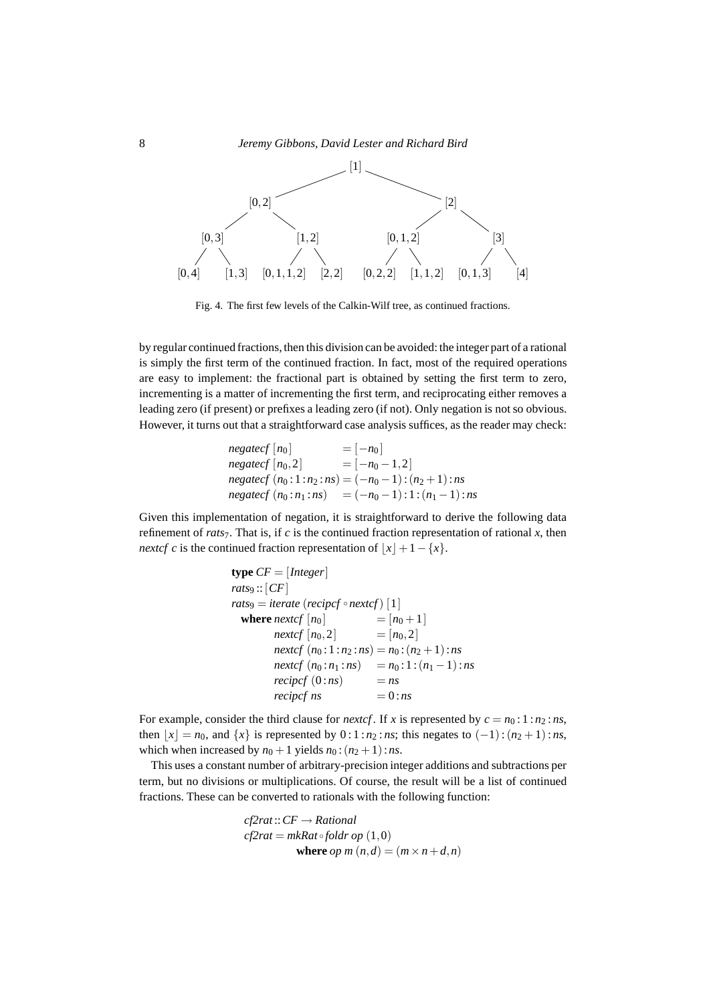

Fig. 4. The first few levels of the Calkin-Wilf tree, as continued fractions.

by regular continued fractions, then this division can be avoided: the integer part of a rational is simply the first term of the continued fraction. In fact, most of the required operations are easy to implement: the fractional part is obtained by setting the first term to zero, incrementing is a matter of incrementing the first term, and reciprocating either removes a leading zero (if present) or prefixes a leading zero (if not). Only negation is not so obvious. However, it turns out that a straightforward case analysis suffices, as the reader may check:

```

negative f(n_0:1:n_2:n s) = (-n_0-1):(n_2+1): nsnegative f(n_0:n_1:n_2) = (-n_0-1): 1:(n_1-1):ns
```
Given this implementation of negation, it is straightforward to derive the following data refinement of *rats*<sub>7</sub>. That is, if  $c$  is the continued fraction representation of rational  $x$ , then *nextcf c* is the continued fraction representation of  $|x| + 1 - \{x\}$ .

```
type CF = [Integer]
rats_9::[CF]rats<sub>9</sub> = iterate (recipcf <i>nextcf</i>) [1]
 where nextcf [n_0] = [n_0 + 1]nextcf [n_0, 2] = [n_0, 2]nextcf(n_0:1:n_2:n_s) = n_0:(n_2+1):nsnextcf(n_0:n_1:n_s) = n_0:1:(n_1-1):nsrecipcf (0:ns) = nsrecipcfns = 0:ns
```
For example, consider the third clause for *nextcf*. If *x* is represented by  $c = n_0 : 1 : n_2 : ns$ , then  $|x| = n_0$ , and  $\{x\}$  is represented by  $0: 1:n_2:n_3$ ; this negates to  $(-1):(n_2+1): ns$ , which when increased by  $n_0 + 1$  yields  $n_0$ :  $(n_2 + 1)$ : *ns*.

This uses a constant number of arbitrary-precision integer additions and subtractions per term, but no divisions or multiplications. Of course, the result will be a list of continued fractions. These can be converted to rationals with the following function:

> *cf2rat* ::*CF* → *Rational*  $cf2rat = mkRat \circ foldr op (1,0)$ **where** *op*  $m(n,d) = (m \times n + d, n)$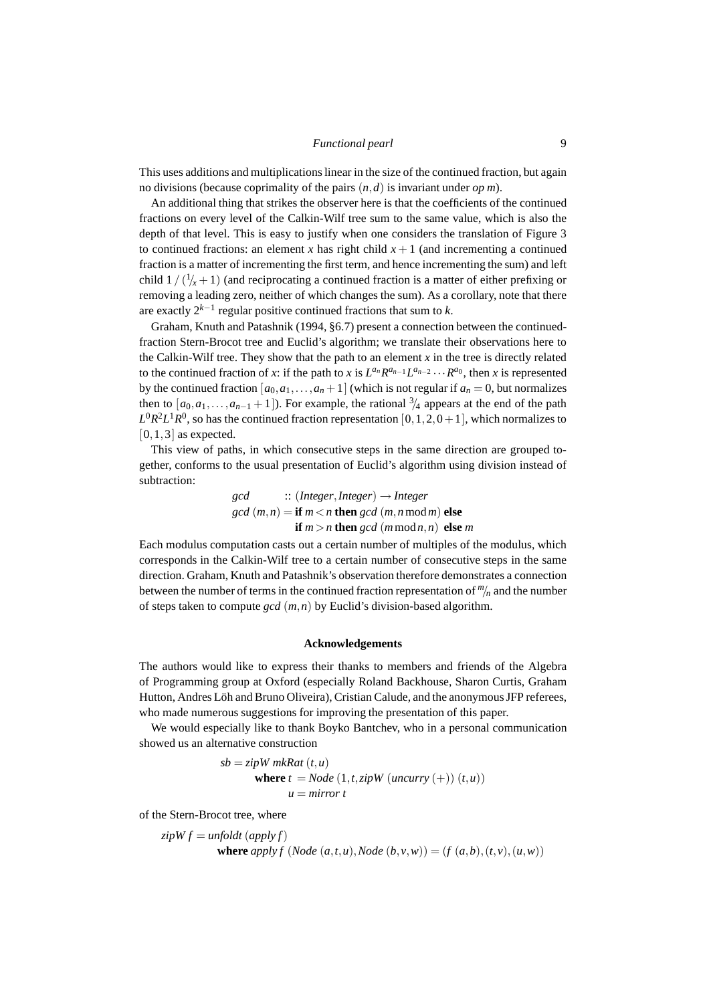#### *Functional pearl* 9

This uses additions and multiplications linear in the size of the continued fraction, but again no divisions (because coprimality of the pairs (*n*,*d*) is invariant under *op m*).

An additional thing that strikes the observer here is that the coefficients of the continued fractions on every level of the Calkin-Wilf tree sum to the same value, which is also the depth of that level. This is easy to justify when one considers the translation of Figure 3 to continued fractions: an element *x* has right child  $x + 1$  (and incrementing a continued fraction is a matter of incrementing the first term, and hence incrementing the sum) and left child  $1/(1/x+1)$  (and reciprocating a continued fraction is a matter of either prefixing or removing a leading zero, neither of which changes the sum). As a corollary, note that there are exactly 2*k*−<sup>1</sup> regular positive continued fractions that sum to *k*.

Graham, Knuth and Patashnik (1994, §6.7) present a connection between the continuedfraction Stern-Brocot tree and Euclid's algorithm; we translate their observations here to the Calkin-Wilf tree. They show that the path to an element  $x$  in the tree is directly related to the continued fraction of *x*: if the path to *x* is  $L^{a_n}R^{a_{n-1}}L^{a_{n-2}}\cdots R^{a_0}$ , then *x* is represented by the continued fraction  $[a_0, a_1, \ldots, a_n + 1]$  (which is not regular if  $a_n = 0$ , but normalizes then to  $[a_0, a_1, \ldots, a_{n-1} + 1]$ ). For example, the rational  $\frac{3}{4}$  appears at the end of the path  $L^0R^2L^1R^0$ , so has the continued fraction representation [0,1,2,0+1], which normalizes to  $[0,1,3]$  as expected.

This view of paths, in which consecutive steps in the same direction are grouped together, conforms to the usual presentation of Euclid's algorithm using division instead of subtraction:

> *gcd* :: (*Integer*,*Integer*) → *Integer*  $gcd(m, n) =$  **if**  $m < n$  **then**  $gcd(m, n \mod m)$  **else if**  $m > n$  **then**  $gcd(m \mod n, n)$  **else** *m*

Each modulus computation casts out a certain number of multiples of the modulus, which corresponds in the Calkin-Wilf tree to a certain number of consecutive steps in the same direction. Graham, Knuth and Patashnik's observation therefore demonstrates a connection between the number of terms in the continued fraction representation of *<sup>m</sup>*/*<sup>n</sup>* and the number of steps taken to compute *gcd* (*m*,*n*) by Euclid's division-based algorithm.

# **Acknowledgements**

The authors would like to express their thanks to members and friends of the Algebra of Programming group at Oxford (especially Roland Backhouse, Sharon Curtis, Graham Hutton, Andres Löh and Bruno Oliveira), Cristian Calude, and the anonymous JFP referees, who made numerous suggestions for improving the presentation of this paper.

We would especially like to thank Boyko Bantchev, who in a personal communication showed us an alternative construction

$$
sb = zipW mkkat (t, u)
$$
  
**where**  $t = Node (1, t, zipW (uncurry (+)) (t, u))$   
 $u = mirror t$ 

of the Stern-Brocot tree, where

$$
zipWf = \text{unfoldt (apply f)}
$$
  
**where** applyf (Node (a, t, u),Node (b, v, w)) = (f (a, b), (t, v), (u, w))